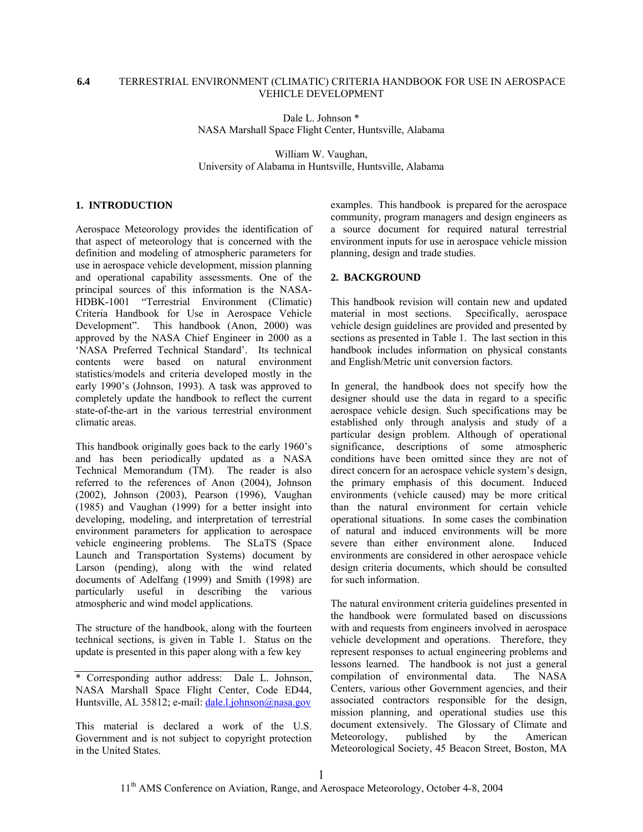# **6.4** TERRESTRIAL ENVIRONMENT (CLIMATIC) CRITERIA HANDBOOK FOR USE IN AEROSPACE VEHICLE DEVELOPMENT

Dale L. Johnson \* NASA Marshall Space Flight Center, Huntsville, Alabama

William W. Vaughan, University of Alabama in Huntsville, Huntsville, Alabama

#### **1. INTRODUCTION**

Aerospace Meteorology provides the identification of that aspect of meteorology that is concerned with the definition and modeling of atmospheric parameters for use in aerospace vehicle development, mission planning and operational capability assessments. One of the principal sources of this information is the NASA-HDBK-1001 "Terrestrial Environment (Climatic) Criteria Handbook for Use in Aerospace Vehicle Development". This handbook (Anon, 2000) was approved by the NASA Chief Engineer in 2000 as a 'NASA Preferred Technical Standard'. Its technical contents were based on natural environment statistics/models and criteria developed mostly in the early 1990's (Johnson, 1993). A task was approved to completely update the handbook to reflect the current state-of-the-art in the various terrestrial environment climatic areas.

This handbook originally goes back to the early 1960's and has been periodically updated as a NASA Technical Memorandum (TM). The reader is also referred to the references of Anon (2004), Johnson (2002), Johnson (2003), Pearson (1996), Vaughan (1985) and Vaughan (1999) for a better insight into developing, modeling, and interpretation of terrestrial environment parameters for application to aerospace vehicle engineering problems. The SLaTS (Space Launch and Transportation Systems) document by Larson (pending), along with the wind related documents of Adelfang (1999) and Smith (1998) are particularly useful in describing the various atmospheric and wind model applications.

The structure of the handbook, along with the fourteen technical sections, is given in Table 1. Status on the update is presented in this paper along with a few key

\* Corresponding author address: Dale L. Johnson, NASA Marshall Space Flight Center, Code ED44, Huntsville, AL 35812; e-mail: dale.l.johnson@nasa.gov

This material is declared a work of the U.S. Government and is not subject to copyright protection in the United States.

examples. This handbook is prepared for the aerospace community, program managers and design engineers as a source document for required natural terrestrial environment inputs for use in aerospace vehicle mission planning, design and trade studies.

# **2. BACKGROUND**

This handbook revision will contain new and updated material in most sections. Specifically, aerospace vehicle design guidelines are provided and presented by sections as presented in Table 1. The last section in this handbook includes information on physical constants and English/Metric unit conversion factors.

In general, the handbook does not specify how the designer should use the data in regard to a specific aerospace vehicle design. Such specifications may be established only through analysis and study of a particular design problem. Although of operational significance, descriptions of some atmospheric conditions have been omitted since they are not of direct concern for an aerospace vehicle system's design, the primary emphasis of this document. Induced environments (vehicle caused) may be more critical than the natural environment for certain vehicle operational situations. In some cases the combination of natural and induced environments will be more severe than either environment alone. Induced environments are considered in other aerospace vehicle design criteria documents, which should be consulted for such information.

The natural environment criteria guidelines presented in the handbook were formulated based on discussions with and requests from engineers involved in aerospace vehicle development and operations. Therefore, they represent responses to actual engineering problems and lessons learned. The handbook is not just a general compilation of environmental data. The NASA Centers, various other Government agencies, and their associated contractors responsible for the design, mission planning, and operational studies use this document extensively. The Glossary of Climate and Meteorology, published by the American Meteorological Society, 45 Beacon Street, Boston, MA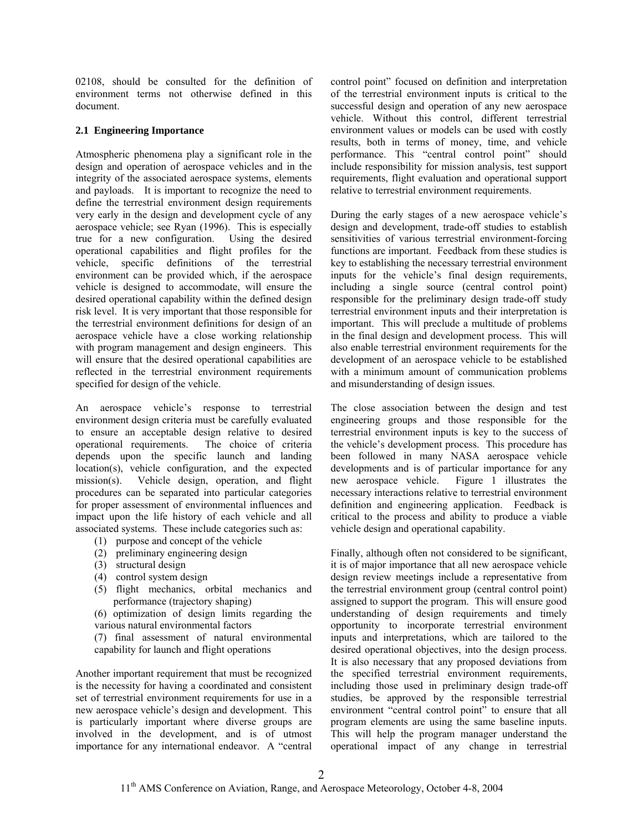02108, should be consulted for the definition of environment terms not otherwise defined in this document.

### **2.1 Engineering Importance**

Atmospheric phenomena play a significant role in the design and operation of aerospace vehicles and in the integrity of the associated aerospace systems, elements and payloads. It is important to recognize the need to define the terrestrial environment design requirements very early in the design and development cycle of any aerospace vehicle; see Ryan (1996). This is especially true for a new configuration. Using the desired operational capabilities and flight profiles for the vehicle, specific definitions of the terrestrial environment can be provided which, if the aerospace vehicle is designed to accommodate, will ensure the desired operational capability within the defined design risk level. It is very important that those responsible for the terrestrial environment definitions for design of an aerospace vehicle have a close working relationship with program management and design engineers. This will ensure that the desired operational capabilities are reflected in the terrestrial environment requirements specified for design of the vehicle.

An aerospace vehicle's response to terrestrial environment design criteria must be carefully evaluated to ensure an acceptable design relative to desired operational requirements. The choice of criteria depends upon the specific launch and landing location(s), vehicle configuration, and the expected mission(s). Vehicle design, operation, and flight procedures can be separated into particular categories for proper assessment of environmental influences and impact upon the life history of each vehicle and all associated systems. These include categories such as:

- (1) purpose and concept of the vehicle
- (2) preliminary engineering design
- (3) structural design
- (4) control system design
- (5) flight mechanics, orbital mechanics and performance (trajectory shaping)
- (6) optimization of design limits regarding the various natural environmental factors
- (7) final assessment of natural environmental capability for launch and flight operations

Another important requirement that must be recognized is the necessity for having a coordinated and consistent set of terrestrial environment requirements for use in a new aerospace vehicle's design and development. This is particularly important where diverse groups are involved in the development, and is of utmost importance for any international endeavor. A "central

control point" focused on definition and interpretation of the terrestrial environment inputs is critical to the successful design and operation of any new aerospace vehicle. Without this control, different terrestrial environment values or models can be used with costly results, both in terms of money, time, and vehicle performance. This "central control point" should include responsibility for mission analysis, test support requirements, flight evaluation and operational support relative to terrestrial environment requirements.

During the early stages of a new aerospace vehicle's design and development, trade-off studies to establish sensitivities of various terrestrial environment-forcing functions are important. Feedback from these studies is key to establishing the necessary terrestrial environment inputs for the vehicle's final design requirements, including a single source (central control point) responsible for the preliminary design trade-off study terrestrial environment inputs and their interpretation is important. This will preclude a multitude of problems in the final design and development process. This will also enable terrestrial environment requirements for the development of an aerospace vehicle to be established with a minimum amount of communication problems and misunderstanding of design issues.

The close association between the design and test engineering groups and those responsible for the terrestrial environment inputs is key to the success of the vehicle's development process. This procedure has been followed in many NASA aerospace vehicle developments and is of particular importance for any new aerospace vehicle. Figure 1 illustrates the necessary interactions relative to terrestrial environment definition and engineering application. Feedback is critical to the process and ability to produce a viable vehicle design and operational capability.

Finally, although often not considered to be significant, it is of major importance that all new aerospace vehicle design review meetings include a representative from the terrestrial environment group (central control point) assigned to support the program. This will ensure good understanding of design requirements and timely opportunity to incorporate terrestrial environment inputs and interpretations, which are tailored to the desired operational objectives, into the design process. It is also necessary that any proposed deviations from the specified terrestrial environment requirements, including those used in preliminary design trade-off studies, be approved by the responsible terrestrial environment "central control point" to ensure that all program elements are using the same baseline inputs. This will help the program manager understand the operational impact of any change in terrestrial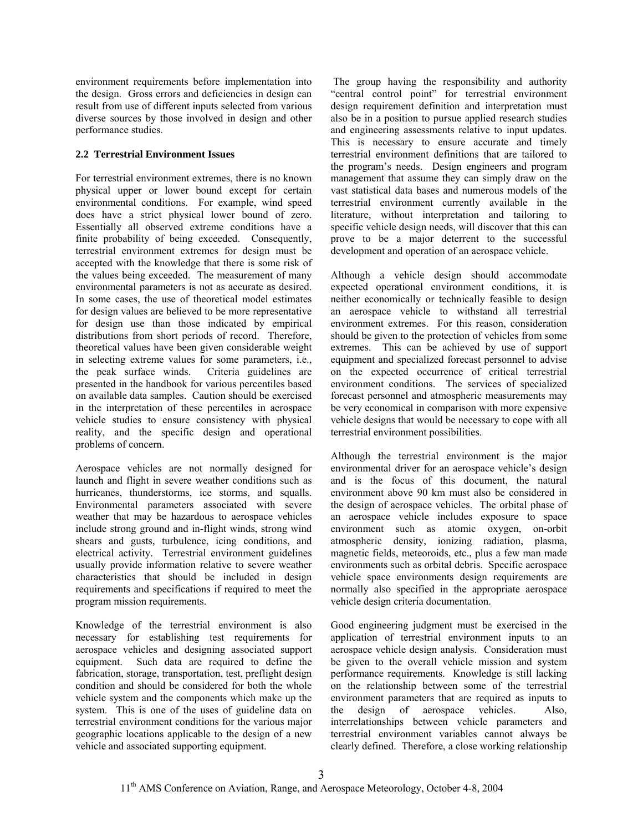environment requirements before implementation into the design. Gross errors and deficiencies in design can result from use of different inputs selected from various diverse sources by those involved in design and other performance studies.

# **2.2 Terrestrial Environment Issues**

For terrestrial environment extremes, there is no known physical upper or lower bound except for certain environmental conditions. For example, wind speed does have a strict physical lower bound of zero. Essentially all observed extreme conditions have a finite probability of being exceeded. Consequently, terrestrial environment extremes for design must be accepted with the knowledge that there is some risk of the values being exceeded. The measurement of many environmental parameters is not as accurate as desired. In some cases, the use of theoretical model estimates for design values are believed to be more representative for design use than those indicated by empirical distributions from short periods of record. Therefore, theoretical values have been given considerable weight in selecting extreme values for some parameters, i.e., the peak surface winds. Criteria guidelines are presented in the handbook for various percentiles based on available data samples. Caution should be exercised in the interpretation of these percentiles in aerospace vehicle studies to ensure consistency with physical reality, and the specific design and operational problems of concern.

Aerospace vehicles are not normally designed for launch and flight in severe weather conditions such as hurricanes, thunderstorms, ice storms, and squalls. Environmental parameters associated with severe weather that may be hazardous to aerospace vehicles include strong ground and in-flight winds, strong wind shears and gusts, turbulence, icing conditions, and electrical activity. Terrestrial environment guidelines usually provide information relative to severe weather characteristics that should be included in design requirements and specifications if required to meet the program mission requirements.

Knowledge of the terrestrial environment is also necessary for establishing test requirements for aerospace vehicles and designing associated support equipment. Such data are required to define the fabrication, storage, transportation, test, preflight design condition and should be considered for both the whole vehicle system and the components which make up the system. This is one of the uses of guideline data on terrestrial environment conditions for the various major geographic locations applicable to the design of a new vehicle and associated supporting equipment.

 The group having the responsibility and authority "central control point" for terrestrial environment design requirement definition and interpretation must also be in a position to pursue applied research studies and engineering assessments relative to input updates. This is necessary to ensure accurate and timely terrestrial environment definitions that are tailored to the program's needs. Design engineers and program management that assume they can simply draw on the vast statistical data bases and numerous models of the terrestrial environment currently available in the literature, without interpretation and tailoring to specific vehicle design needs, will discover that this can prove to be a major deterrent to the successful development and operation of an aerospace vehicle.

Although a vehicle design should accommodate expected operational environment conditions, it is neither economically or technically feasible to design an aerospace vehicle to withstand all terrestrial environment extremes. For this reason, consideration should be given to the protection of vehicles from some extremes. This can be achieved by use of support equipment and specialized forecast personnel to advise on the expected occurrence of critical terrestrial environment conditions. The services of specialized forecast personnel and atmospheric measurements may be very economical in comparison with more expensive vehicle designs that would be necessary to cope with all terrestrial environment possibilities.

Although the terrestrial environment is the major environmental driver for an aerospace vehicle's design and is the focus of this document, the natural environment above 90 km must also be considered in the design of aerospace vehicles. The orbital phase of an aerospace vehicle includes exposure to space environment such as atomic oxygen, on-orbit atmospheric density, ionizing radiation, plasma, magnetic fields, meteoroids, etc., plus a few man made environments such as orbital debris. Specific aerospace vehicle space environments design requirements are normally also specified in the appropriate aerospace vehicle design criteria documentation.

Good engineering judgment must be exercised in the application of terrestrial environment inputs to an aerospace vehicle design analysis. Consideration must be given to the overall vehicle mission and system performance requirements. Knowledge is still lacking on the relationship between some of the terrestrial environment parameters that are required as inputs to the design of aerospace vehicles. Also, interrelationships between vehicle parameters and terrestrial environment variables cannot always be clearly defined. Therefore, a close working relationship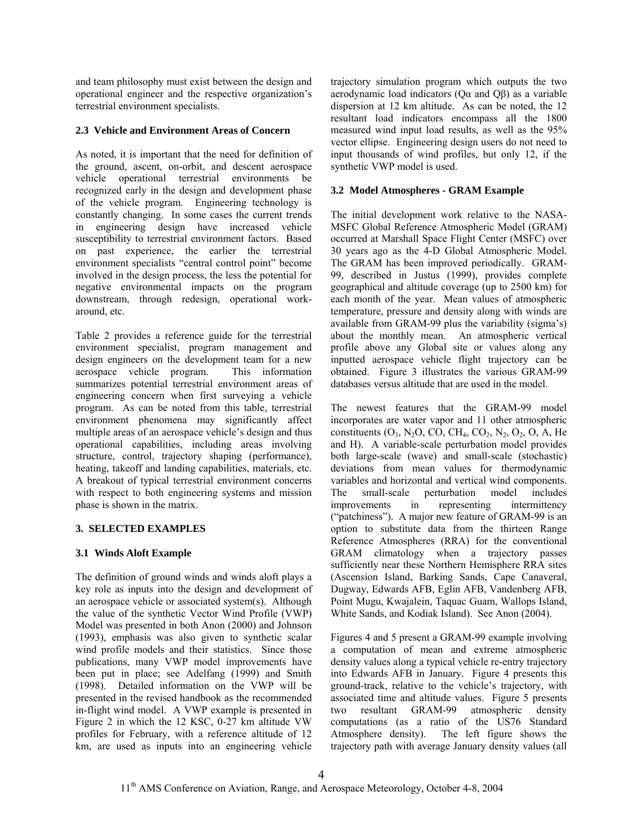and team philosophy must exist between the design and operational engineer and the respective organization's terrestrial environment specialists.

# **2.3 Vehicle and Environment Areas of Concern**

As noted, it is important that the need for definition of the ground, ascent, on-orbit, and descent aerospace vehicle operational terrestrial environments be recognized early in the design and development phase of the vehicle program. Engineering technology is constantly changing. In some cases the current trends in engineering design have increased vehicle susceptibility to terrestrial environment factors. Based on past experience, the earlier the terrestrial environment specialists "central control point" become involved in the design process, the less the potential for negative environmental impacts on the program downstream, through redesign, operational workaround, etc.

Table 2 provides a reference guide for the terrestrial environment specialist, program management and design engineers on the development team for a new aerospace vehicle program. This information summarizes potential terrestrial environment areas of engineering concern when first surveying a vehicle program. As can be noted from this table, terrestrial environment phenomena may significantly affect multiple areas of an aerospace vehicle's design and thus operational capabilities, including areas involving structure, control, trajectory shaping (performance), heating, takeoff and landing capabilities, materials, etc. A breakout of typical terrestrial environment concerns with respect to both engineering systems and mission phase is shown in the matrix.

# **3. SELECTED EXAMPLES**

# **3.1 Winds Aloft Example**

The definition of ground winds and winds aloft plays a key role as inputs into the design and development of an aerospace vehicle or associated system(s). Although the value of the synthetic Vector Wind Profile (VWP) Model was presented in both Anon (2000) and Johnson (1993), emphasis was also given to synthetic scalar wind profile models and their statistics. Since those publications, many VWP model improvements have been put in place; see Adelfang (1999) and Smith (1998). Detailed information on the VWP will be presented in the revised handbook as the recommended in-flight wind model. A VWP example is presented in Figure 2 in which the 12 KSC, 0-27 km altitude VW profiles for February, with a reference altitude of 12 km, are used as inputs into an engineering vehicle

trajectory simulation program which outputs the two aerodynamic load indicators ( $O\alpha$  and  $O\beta$ ) as a variable dispersion at 12 km altitude. As can be noted, the 12 resultant load indicators encompass all the 1800 measured wind input load results, as well as the 95% vector ellipse. Engineering design users do not need to input thousands of wind profiles, but only 12, if the synthetic VWP model is used.

# **3.2 Model Atmospheres - GRAM Example**

The initial development work relative to the NASA-MSFC Global Reference Atmospheric Model (GRAM) occurred at Marshall Space Flight Center (MSFC) over 30 years ago as the 4-D Global Atmospheric Model. The GRAM has been improved periodically. GRAM-99, described in Justus (1999), provides complete geographical and altitude coverage (up to 2500 km) for each month of the year. Mean values of atmospheric temperature, pressure and density along with winds are available from GRAM-99 plus the variability (sigma's) about the monthly mean. An atmospheric vertical profile above any Global site or values along any inputted aerospace vehicle flight trajectory can be obtained. Figure 3 illustrates the various GRAM-99 databases versus altitude that are used in the model.

The newest features that the GRAM-99 model incorporates are water vapor and 11 other atmospheric constituents  $(O_3, N_2O, CO, CH_4, CO_2, N_2, O_2, O, A, He)$ and H). A variable-scale perturbation model provides both large-scale (wave) and small-scale (stochastic) deviations from mean values for thermodynamic variables and horizontal and vertical wind components. The small-scale perturbation model includes improvements in representing intermittency ("patchiness"). A major new feature of GRAM-99 is an option to substitute data from the thirteen Range Reference Atmospheres (RRA) for the conventional GRAM climatology when a trajectory passes sufficiently near these Northern Hemisphere RRA sites (Ascension Island, Barking Sands, Cape Canaveral, Dugway, Edwards AFB, Eglin AFB, Vandenberg AFB, Point Mugu, Kwajalein, Taquac Guam, Wallops Island, White Sands, and Kodiak Island). See Anon (2004).

Figures 4 and 5 present a GRAM-99 example involving a computation of mean and extreme atmospheric density values along a typical vehicle re-entry trajectory into Edwards AFB in January. Figure 4 presents this ground-track, relative to the vehicle's trajectory, with associated time and altitude values. Figure 5 presents two resultant GRAM-99 atmospheric density computations (as a ratio of the US76 Standard Atmosphere density). The left figure shows the trajectory path with average January density values (all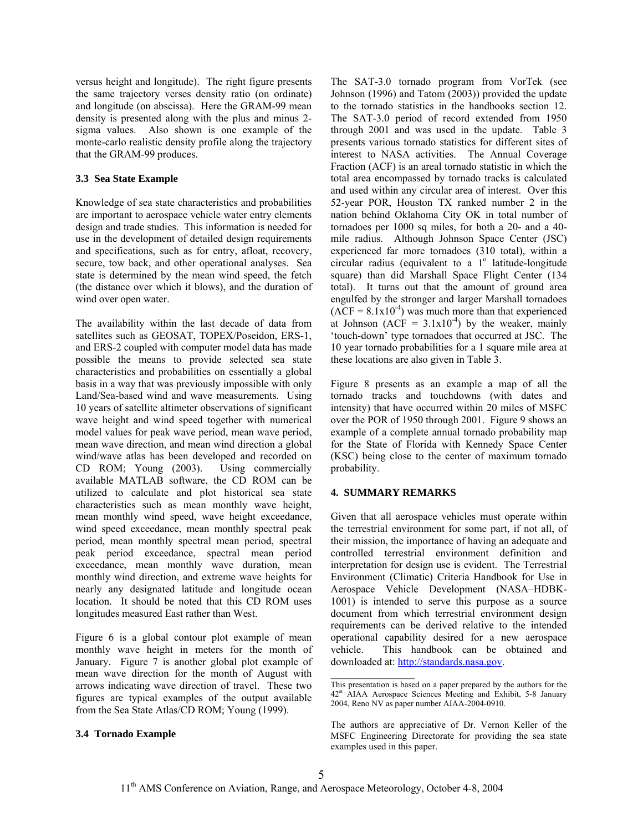versus height and longitude). The right figure presents the same trajectory verses density ratio (on ordinate) and longitude (on abscissa). Here the GRAM-99 mean density is presented along with the plus and minus 2 sigma values. Also shown is one example of the monte-carlo realistic density profile along the trajectory that the GRAM-99 produces.

### **3.3 Sea State Example**

Knowledge of sea state characteristics and probabilities are important to aerospace vehicle water entry elements design and trade studies. This information is needed for use in the development of detailed design requirements and specifications, such as for entry, afloat, recovery, secure, tow back, and other operational analyses. Sea state is determined by the mean wind speed, the fetch (the distance over which it blows), and the duration of wind over open water.

The availability within the last decade of data from satellites such as GEOSAT, TOPEX/Poseidon, ERS-1, and ERS-2 coupled with computer model data has made possible the means to provide selected sea state characteristics and probabilities on essentially a global basis in a way that was previously impossible with only Land/Sea-based wind and wave measurements. Using 10 years of satellite altimeter observations of significant wave height and wind speed together with numerical model values for peak wave period, mean wave period, mean wave direction, and mean wind direction a global wind/wave atlas has been developed and recorded on CD ROM; Young (2003). Using commercially available MATLAB software, the CD ROM can be utilized to calculate and plot historical sea state characteristics such as mean monthly wave height, mean monthly wind speed, wave height exceedance, wind speed exceedance, mean monthly spectral peak period, mean monthly spectral mean period, spectral peak period exceedance, spectral mean period exceedance, mean monthly wave duration, mean monthly wind direction, and extreme wave heights for nearly any designated latitude and longitude ocean location. It should be noted that this CD ROM uses longitudes measured East rather than West.

Figure 6 is a global contour plot example of mean monthly wave height in meters for the month of January. Figure 7 is another global plot example of mean wave direction for the month of August with arrows indicating wave direction of travel. These two figures are typical examples of the output available from the Sea State Atlas/CD ROM; Young (1999).

### **3.4 Tornado Example**

The SAT-3.0 tornado program from VorTek (see Johnson (1996) and Tatom (2003)) provided the update to the tornado statistics in the handbooks section 12. The SAT-3.0 period of record extended from 1950 through 2001 and was used in the update. Table 3 presents various tornado statistics for different sites of interest to NASA activities. The Annual Coverage Fraction (ACF) is an areal tornado statistic in which the total area encompassed by tornado tracks is calculated and used within any circular area of interest. Over this 52-year POR, Houston TX ranked number 2 in the nation behind Oklahoma City OK in total number of tornadoes per 1000 sq miles, for both a 20- and a 40 mile radius. Although Johnson Space Center (JSC) experienced far more tornadoes (310 total), within a circular radius (equivalent to a  $1^\circ$  latitude-longitude square) than did Marshall Space Flight Center (134 total). It turns out that the amount of ground area engulfed by the stronger and larger Marshall tornadoes  $(ACF = 8.1x10<sup>-4</sup>)$  was much more than that experienced at Johnson (ACF =  $3.1x10^{-4}$ ) by the weaker, mainly 'touch-down' type tornadoes that occurred at JSC. The 10 year tornado probabilities for a 1 square mile area at these locations are also given in Table 3.

Figure 8 presents as an example a map of all the tornado tracks and touchdowns (with dates and intensity) that have occurred within 20 miles of MSFC over the POR of 1950 through 2001. Figure 9 shows an example of a complete annual tornado probability map for the State of Florida with Kennedy Space Center (KSC) being close to the center of maximum tornado probability.

#### **4. SUMMARY REMARKS**

Given that all aerospace vehicles must operate within the terrestrial environment for some part, if not all, of their mission, the importance of having an adequate and controlled terrestrial environment definition and interpretation for design use is evident. The Terrestrial Environment (Climatic) Criteria Handbook for Use in Aerospace Vehicle Development (NASA–HDBK-1001) is intended to serve this purpose as a source document from which terrestrial environment design requirements can be derived relative to the intended operational capability desired for a new aerospace vehicle. This handbook can be obtained and downloaded at: http://standards.nasa.gov.

This presentation is based on a paper prepared by the authors for the 42st AIAA Aerospace Sciences Meeting and Exhibit, 5-8 January 2004, Reno NV as paper number AIAA-2004-0910.

The authors are appreciative of Dr. Vernon Keller of the MSFC Engineering Directorate for providing the sea state examples used in this paper.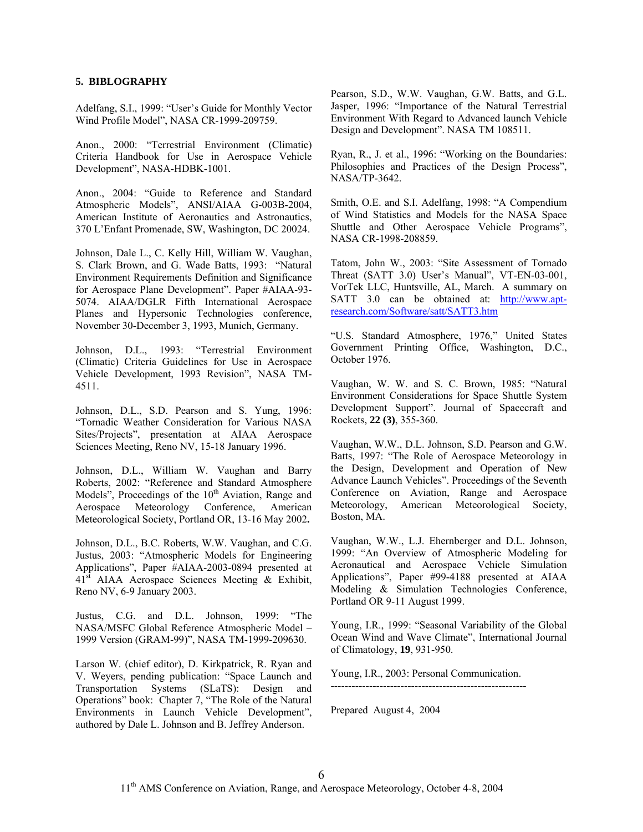#### **5. BIBLOGRAPHY**

Adelfang, S.I., 1999: "User's Guide for Monthly Vector Wind Profile Model", NASA CR-1999-209759.

Anon., 2000: "Terrestrial Environment (Climatic) Criteria Handbook for Use in Aerospace Vehicle Development", NASA-HDBK-1001.

Anon., 2004: "Guide to Reference and Standard Atmospheric Models", ANSI/AIAA G-003B-2004, American Institute of Aeronautics and Astronautics, 370 L'Enfant Promenade, SW, Washington, DC 20024.

Johnson, Dale L., C. Kelly Hill, William W. Vaughan, S. Clark Brown, and G. Wade Batts, 1993: "Natural Environment Requirements Definition and Significance for Aerospace Plane Development". Paper #AIAA-93- 5074. AIAA/DGLR Fifth International Aerospace Planes and Hypersonic Technologies conference, November 30-December 3, 1993, Munich, Germany.

Johnson, D.L., 1993: "Terrestrial Environment (Climatic) Criteria Guidelines for Use in Aerospace Vehicle Development, 1993 Revision", NASA TM-4511.

Johnson, D.L., S.D. Pearson and S. Yung, 1996: "Tornadic Weather Consideration for Various NASA Sites/Projects", presentation at AIAA Aerospace Sciences Meeting, Reno NV, 15-18 January 1996.

Johnson, D.L., William W. Vaughan and Barry Roberts, 2002: "Reference and Standard Atmosphere Models", Proceedings of the 10<sup>th</sup> Aviation, Range and Aerospace Meteorology Conference, American Meteorological Society, Portland OR, 13-16 May 2002**.** 

Johnson, D.L., B.C. Roberts, W.W. Vaughan, and C.G. Justus, 2003: "Atmospheric Models for Engineering Applications", Paper #AIAA-2003-0894 presented at 41<sup>st</sup> AIAA Aerospace Sciences Meeting & Exhibit, Reno NV, 6-9 January 2003.

Justus, C.G. and D.L. Johnson, 1999: "The NASA/MSFC Global Reference Atmospheric Model – 1999 Version (GRAM-99)", NASA TM-1999-209630.

Larson W. (chief editor), D. Kirkpatrick, R. Ryan and V. Weyers, pending publication: "Space Launch and Transportation Systems (SLaTS): Design and Operations" book: Chapter 7, "The Role of the Natural Environments in Launch Vehicle Development", authored by Dale L. Johnson and B. Jeffrey Anderson.

Pearson, S.D., W.W. Vaughan, G.W. Batts, and G.L. Jasper, 1996: "Importance of the Natural Terrestrial Environment With Regard to Advanced launch Vehicle Design and Development". NASA TM 108511.

Ryan, R., J. et al., 1996: "Working on the Boundaries: Philosophies and Practices of the Design Process", NASA/TP-3642.

Smith, O.E. and S.I. Adelfang, 1998: "A Compendium of Wind Statistics and Models for the NASA Space Shuttle and Other Aerospace Vehicle Programs", NASA CR-1998-208859.

Tatom, John W., 2003: "Site Assessment of Tornado Threat (SATT 3.0) User's Manual", VT-EN-03-001, VorTek LLC, Huntsville, AL, March. A summary on SATT 3.0 can be obtained at: http://www.aptresearch.com/Software/satt/SATT3.htm

"U.S. Standard Atmosphere, 1976," United States Government Printing Office, Washington, D.C., October 1976.

Vaughan, W. W. and S. C. Brown, 1985: "Natural Environment Considerations for Space Shuttle System Development Support". Journal of Spacecraft and Rockets, **22 (3)**, 355-360.

Vaughan, W.W., D.L. Johnson, S.D. Pearson and G.W. Batts, 1997: "The Role of Aerospace Meteorology in the Design, Development and Operation of New Advance Launch Vehicles". Proceedings of the Seventh Conference on Aviation, Range and Aerospace Meteorology, American Meteorological Society, Boston, MA.

Vaughan, W.W., L.J. Ehernberger and D.L. Johnson, 1999: "An Overview of Atmospheric Modeling for Aeronautical and Aerospace Vehicle Simulation Applications", Paper #99-4188 presented at AIAA Modeling & Simulation Technologies Conference, Portland OR 9-11 August 1999.

Young, I.R., 1999: "Seasonal Variability of the Global Ocean Wind and Wave Climate", International Journal of Climatology, **19**, 931-950.

Young, I.R., 2003: Personal Communication. --------------------------------------------------------

Prepared August 4, 2004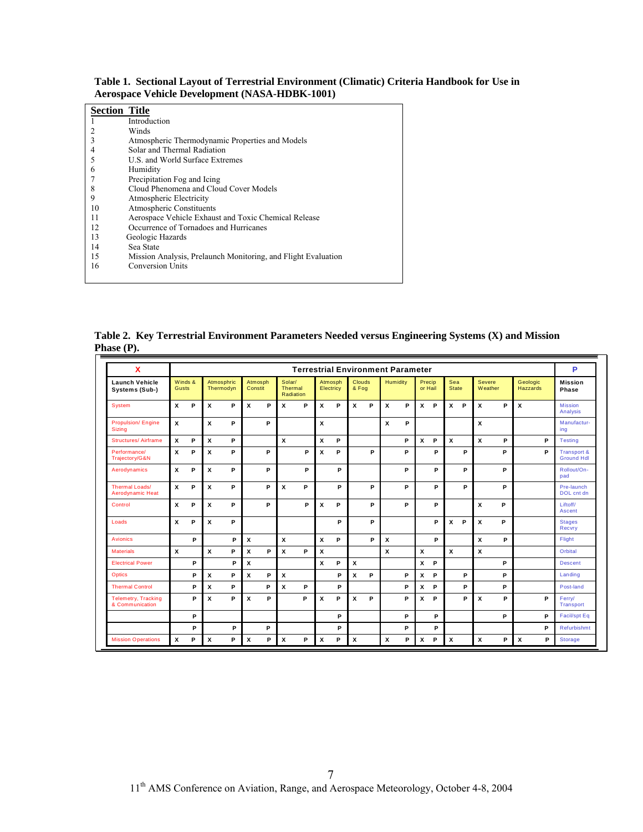**Table 1. Sectional Layout of Terrestrial Environment (Climatic) Criteria Handbook for Use in Aerospace Vehicle Development (NASA-HDBK-1001)** 

| <b>Section Title</b> |                                                               |
|----------------------|---------------------------------------------------------------|
|                      | Introduction                                                  |
| 2                    | Winds                                                         |
| 3                    | Atmospheric Thermodynamic Properties and Models               |
| $\overline{4}$       | Solar and Thermal Radiation                                   |
| 5                    | U.S. and World Surface Extremes                               |
| 6                    | Humidity                                                      |
| 7                    | Precipitation Fog and Icing                                   |
| 8                    | Cloud Phenomena and Cloud Cover Models                        |
| 9                    | Atmospheric Electricity                                       |
| 10                   | Atmospheric Constituents                                      |
| 11                   | Aerospace Vehicle Exhaust and Toxic Chemical Release          |
| 12                   | Occurrence of Tornadoes and Hurricanes                        |
| 13                   | Geologic Hazards                                              |
| 14                   | Sea State                                                     |
| 15                   | Mission Analysis, Prelaunch Monitoring, and Flight Evaluation |
| 16                   | Conversion Units                                              |
|                      |                                                               |

**Table 2. Key Terrestrial Environment Parameters Needed versus Engineering Systems (X) and Mission Phase (P).** 

| x                                                | <b>Terrestrial Environment Parameter</b> |         |   |                         |                    |   |                                |   | P                |                      |                        |   |              |   |              |                   |                     |              |                          |   |                             |   |                                             |
|--------------------------------------------------|------------------------------------------|---------|---|-------------------------|--------------------|---|--------------------------------|---|------------------|----------------------|------------------------|---|--------------|---|--------------|-------------------|---------------------|--------------|--------------------------|---|-----------------------------|---|---------------------------------------------|
| <b>Launch Vehicle</b><br>Systems (Sub-)          | Gusts                                    | Winds & |   | Atmosphric<br>Thermodyn | Atmosph<br>Constit |   | Solar/<br>Thermal<br>Radiation |   |                  | Atmosph<br>Electricy | <b>Clouds</b><br>& Fog |   | Humidity     |   |              | Precip<br>or Hail | Sea<br><b>State</b> |              | <b>Severe</b><br>Weather |   | Geologic<br><b>Hazzards</b> |   | <b>Mission</b><br>Phase                     |
| System                                           | $\boldsymbol{x}$                         | P       | X | P                       | $\mathbf{x}$       | P | X                              | P | $\mathbf{x}$     | P                    | X                      | P | $\mathbf{x}$ | P | $\mathsf{x}$ | $\mathbf{P}$      | $X$ $P$             |              | $\boldsymbol{x}$         | P | X                           |   | <b>Mission</b><br>Analysis                  |
| <b>Propulsion/Engine</b><br>Sizing               | $\mathbf{x}$                             |         | x | P                       |                    | P |                                |   | $\boldsymbol{x}$ |                      |                        |   | x            | P |              |                   |                     |              | X                        |   |                             |   | Manufactur-<br>ing                          |
| <b>Structures/Airframe</b>                       | $\mathbf{x}$                             | P       | X | P                       |                    |   | $\mathbf{x}$                   |   | $\boldsymbol{x}$ | P                    |                        |   |              | P |              | $X$ $P$           | x                   |              | $\mathbf{x}$             | P |                             | P | <b>Testing</b>                              |
| Performance/<br>Trajectory/G&N                   | $\mathbf x$                              | P       | X | P                       |                    | P |                                | P | x                | P                    |                        | P |              | P |              | P                 |                     | P            |                          | P |                             | P | <b>Transport &amp;</b><br><b>Ground Hdl</b> |
| Aerodynamics                                     | $\mathbf{x}$                             | P       | X | P                       |                    | P |                                | P |                  | P                    |                        |   |              | P |              | P                 |                     | P            |                          | P |                             |   | Rollout/On-<br>pad                          |
| <b>Thermal Loads/</b><br><b>Aerodynamic Heat</b> | $\mathbf{x}$                             | P       | X | P                       |                    | P | X                              | P |                  | P                    |                        | P |              | P |              | P                 |                     | P            |                          | P |                             |   | Pre-launch<br>DOL cnt dn                    |
| Control                                          | X                                        | P       | x | P                       |                    | P |                                | P | x                | P                    |                        | P |              | P |              | P                 |                     |              | $\boldsymbol{x}$         | P |                             |   | Liftoff/<br>Ascent                          |
| Loads                                            | X                                        | P       | x | P                       |                    |   |                                |   |                  | P                    |                        | P |              |   |              | P                 | $\mathsf{x}$        | $\mathbf{P}$ | X                        | P |                             |   | <b>Stages</b><br>Recvry                     |
| <b>Avionics</b>                                  |                                          | P       |   | P                       | X                  |   | X                              |   | $\boldsymbol{x}$ | P                    |                        | P | X            |   |              | P                 |                     |              | $\mathbf x$              | P |                             |   | Flight                                      |
| <b>Materials</b>                                 | $\mathbf{x}$                             |         | x | P                       | $\mathbf{x}$       | P | X                              | P | $\boldsymbol{x}$ |                      |                        |   | x            |   | X            |                   | x                   |              | $\boldsymbol{x}$         |   |                             |   | Orbital                                     |
| <b>Electrical Power</b>                          |                                          | P       |   | P                       | X                  |   |                                |   | $\mathbf{x}$     | P                    | X                      |   |              |   |              | $X$ $P$           |                     |              |                          | P |                             |   | <b>Descent</b>                              |
| Optics                                           |                                          | P       | x | P                       | x                  | P | X                              |   |                  | P                    | x                      | P |              | P | $\mathsf{x}$ | $\mathbf{P}$      |                     | P            |                          | P |                             |   | Landing                                     |
| <b>Thermal Control</b>                           |                                          | P       | x | P                       |                    | P | X                              | P |                  | P                    |                        |   |              | P | <b>X</b>     | $\mathbf{P}$      |                     | P            |                          | P |                             |   | Post-land                                   |
| <b>Telemetry, Tracking</b><br>& Communication    |                                          | P       | X | P                       | X                  | P |                                | P | x                | P                    | X                      | P |              | P | x            | P                 |                     | P            | X                        | P |                             | P | Ferry/<br>Transport                         |
|                                                  |                                          | P       |   |                         |                    |   |                                |   |                  | P                    |                        |   |              | P |              | P                 |                     |              |                          | P |                             | P | Facil/spt Eq                                |
|                                                  |                                          | P       |   | P                       |                    | P |                                |   |                  | P                    |                        |   |              | P |              | P                 |                     |              |                          |   |                             | P | Refurbishmt                                 |
| <b>Mission Operations</b>                        | x                                        | P       | x | P                       | X                  | P | x                              | P | x                | P                    | x                      |   | x            | P | x            | P                 | X                   |              | X                        | P | x                           | P | <b>Storage</b>                              |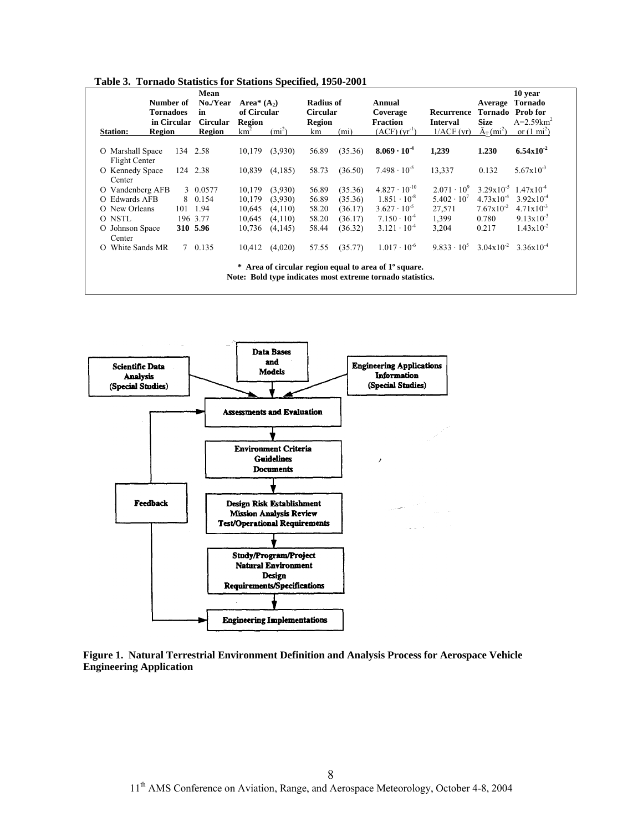| Table 3. Tornado Statistics for Stations Specified, 1950-2001 |  |
|---------------------------------------------------------------|--|
|---------------------------------------------------------------|--|

| <b>Station:</b>                   | Number of<br><b>Tornadoes</b><br>in Circular<br>Region | No./Year<br>in<br><b>Circular</b><br><b>Region</b> | <b>Mean</b><br>Area* $(A_2)$<br>of Circular<br><b>Region</b><br>(m <sup>i</sup> )<br>km <sup>2</sup> |         | <b>Radius of</b><br><b>Circular</b><br><b>Region</b><br>km | (m <sub>i</sub> ) | Annual<br>Coverage<br><b>Fraction</b><br>$(ACF)(vr^{-1})$ | Recurrence<br><b>Interval</b><br>$1/ACF$ (vr) | Average<br>Tornado<br><b>Size</b><br>$\bar{A}_{T}$ (mi <sup>2</sup> ) | 10 year<br><b>Tornado</b><br><b>Prob</b> for<br>$A = 2.59$ km <sup>2</sup><br>or $(1 \text{ mi}^2)$ |  |
|-----------------------------------|--------------------------------------------------------|----------------------------------------------------|------------------------------------------------------------------------------------------------------|---------|------------------------------------------------------------|-------------------|-----------------------------------------------------------|-----------------------------------------------|-----------------------------------------------------------------------|-----------------------------------------------------------------------------------------------------|--|
|                                   |                                                        |                                                    |                                                                                                      |         |                                                            |                   |                                                           |                                               |                                                                       |                                                                                                     |  |
| O Marshall Space<br>Flight Center |                                                        | 134 2.58                                           | 10,179                                                                                               | (3,930) | 56.89                                                      | (35.36)           | $8.069 \cdot 10^{-4}$                                     | 1,239                                         | 1.230                                                                 | $6.54x10^{-2}$                                                                                      |  |
| O Kennedy Space<br>Center         |                                                        | 124 2.38                                           | 10,839                                                                                               | (4,185) | 58.73                                                      | (36.50)           | $7.498 \cdot 10^{-5}$                                     | 13,337                                        | 0.132                                                                 | $5.67 \times 10^{-3}$                                                                               |  |
| O Vandenberg AFB                  |                                                        | 3 0.0577                                           | 10,179                                                                                               | (3,930) | 56.89                                                      | (35.36)           | $4.827 \cdot 10^{-10}$                                    | $2.071 \cdot 10^{9}$                          | $3.29x10^{-5}$                                                        | $1.47 \times 10^{-4}$                                                                               |  |
| O Edwards AFB                     | 8                                                      | 0.154                                              | 10,179                                                                                               | (3,930) | 56.89                                                      | (35.36)           | $1.851 \cdot 10^{-8}$                                     | $5.402 \cdot 10^{7}$                          | $4.73 \times 10^{-4}$                                                 | $3.92 \times 10^{-4}$                                                                               |  |
| O New Orleans                     | 101                                                    | 1.94                                               | 10,645                                                                                               | (4,110) | 58.20                                                      | (36.17)           | $3.627 \cdot 10^{-5}$                                     | 27,571                                        | $7.67 \times 10^{-2}$                                                 | $4.71 \times 10^{-3}$                                                                               |  |
| O NSTL                            |                                                        | 196 3.77                                           | 10,645                                                                                               | (4,110) | 58.20                                                      | (36.17)           | $7.150 \cdot 10^{-4}$                                     | 1,399                                         | 0.780                                                                 | $9.13 \times 10^{-3}$                                                                               |  |
| O Johnson Space<br>Center         |                                                        | 310 5.96                                           | 10,736                                                                                               | (4,145) | 58.44                                                      | (36.32)           | $3.121 \cdot 10^{-4}$                                     | 3,204                                         | 0.217                                                                 | $1.43 \times 10^{-2}$                                                                               |  |
| O White Sands MR                  |                                                        | 7 0.135                                            | 10,412                                                                                               | (4,020) | 57.55                                                      | (35.77)           | $1.017 \cdot 10^{-6}$                                     | $9.833 \cdot 10^{5}$                          |                                                                       | $3.04x10^{-2}$ $3.36x10^{-4}$                                                                       |  |



**Figure 1. Natural Terrestrial Environment Definition and Analysis Process for Aerospace Vehicle Engineering Application**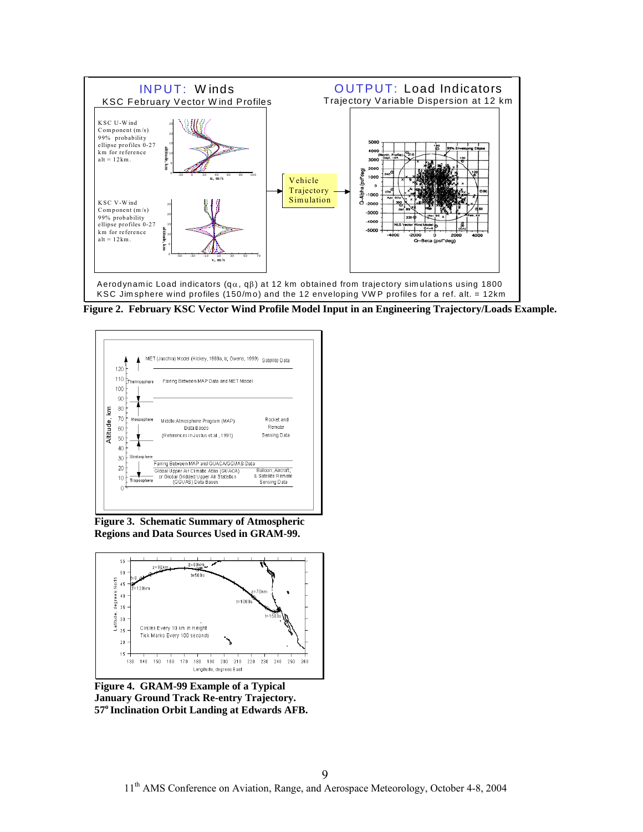

**Figure 2. February KSC Vector Wind Profile Model Input in an Engineering Trajectory/Loads Example.** 



**Figure 3. Schematic Summary of Atmospheric Regions and Data Sources Used in GRAM-99.** 



**Figure 4. GRAM-99 Example of a Typical January Ground Track Re-entry Trajectory. 57o Inclination Orbit Landing at Edwards AFB.**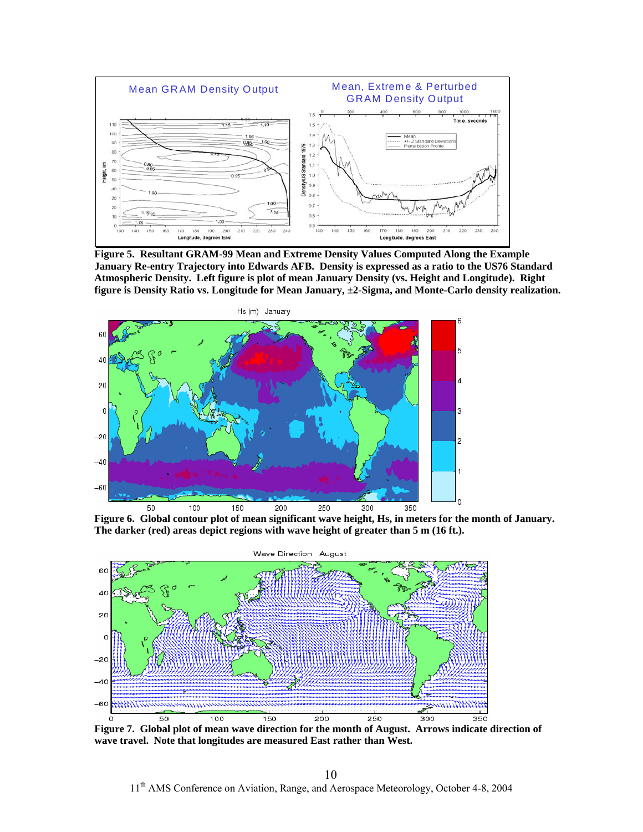

**Figure 5. Resultant GRAM-99 Mean and Extreme Density Values Computed Along the Example January Re-entry Trajectory into Edwards AFB. Density is expressed as a ratio to the US76 Standard Atmospheric Density. Left figure is plot of mean January Density (vs. Height and Longitude). Right figure is Density Ratio vs. Longitude for Mean January, ±2-Sigma, and Monte-Carlo density realization.** 



**Figure 6. Global contour plot of mean significant wave height, Hs, in meters for the month of January. The darker (red) areas depict regions with wave height of greater than 5 m (16 ft.).** 



**Figure 7. Global plot of mean wave direction for the month of August. Arrows indicate direction of wave travel. Note that longitudes are measured East rather than West.** 

11<sup>th</sup> AMS Conference on Aviation, Range, and Aerospace Meteorology, October 4-8, 2004 10